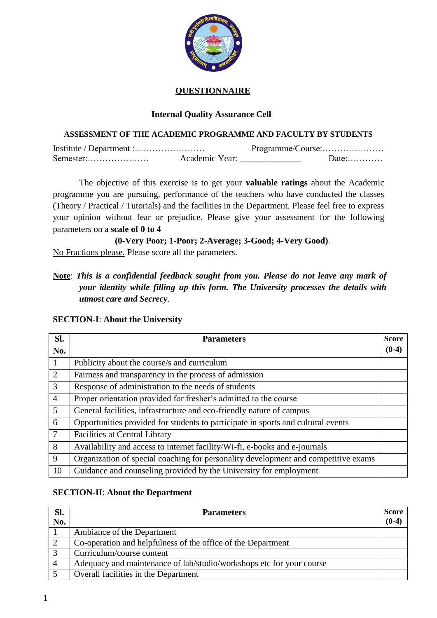

# **QUESTIONNAIRE**

# **Internal Quality Assurance Cell**

# **ASSESSMENT OF THE ACADEMIC PROGRAMME AND FACULTY BY STUDENTS**

|           | Programme/Course: |         |  |  |  |  |  |
|-----------|-------------------|---------|--|--|--|--|--|
| Semester: | Academic Year:    | $Date:$ |  |  |  |  |  |

The objective of this exercise is to get your **valuable ratings** about the Academic programme you are pursuing, performance of the teachers who have conducted the classes (Theory / Practical / Tutorials) and the facilities in the Department. Please feel free to express your opinion without fear or prejudice. Please give your assessment for the following parameters on a **scale of 0 to 4**

**(0-Very Poor; 1-Poor; 2-Average; 3-Good; 4-Very Good)**.

No Fractions please. Please score all the parameters.

**Note**: *This is a confidential feedback sought from you. Please do not leave any mark of your identity while filling up this form. The University processes the details with utmost care and Secrecy*.

| Sl.            | <b>Parameters</b>                                                                  |         |  |  |
|----------------|------------------------------------------------------------------------------------|---------|--|--|
| No.            |                                                                                    | $(0-4)$ |  |  |
| 1              | Publicity about the course/s and curriculum                                        |         |  |  |
| 2              | Fairness and transparency in the process of admission                              |         |  |  |
| 3              | Response of administration to the needs of students                                |         |  |  |
| $\overline{4}$ | Proper orientation provided for fresher's admitted to the course                   |         |  |  |
| 5              | General facilities, infrastructure and eco-friendly nature of campus               |         |  |  |
| 6              | Opportunities provided for students to participate in sports and cultural events   |         |  |  |
| $\overline{7}$ | <b>Facilities at Central Library</b>                                               |         |  |  |
| 8              | Availability and access to internet facility/Wi-fi, e-books and e-journals         |         |  |  |
| 9              | Organization of special coaching for personality development and competitive exams |         |  |  |
| 10             | Guidance and counseling provided by the University for employment                  |         |  |  |

#### **SECTION-I**: **About the University**

#### **SECTION-II**: **About the Department**

| Sl.<br>No.     | <b>Parameters</b>                                                    | <b>Score</b><br>$(0-4)$ |
|----------------|----------------------------------------------------------------------|-------------------------|
|                | Ambiance of the Department                                           |                         |
| $\overline{2}$ | Co-operation and helpfulness of the office of the Department         |                         |
|                | Curriculum/course content                                            |                         |
| $\overline{4}$ | Adequacy and maintenance of lab/studio/workshops etc for your course |                         |
|                | Overall facilities in the Department                                 |                         |